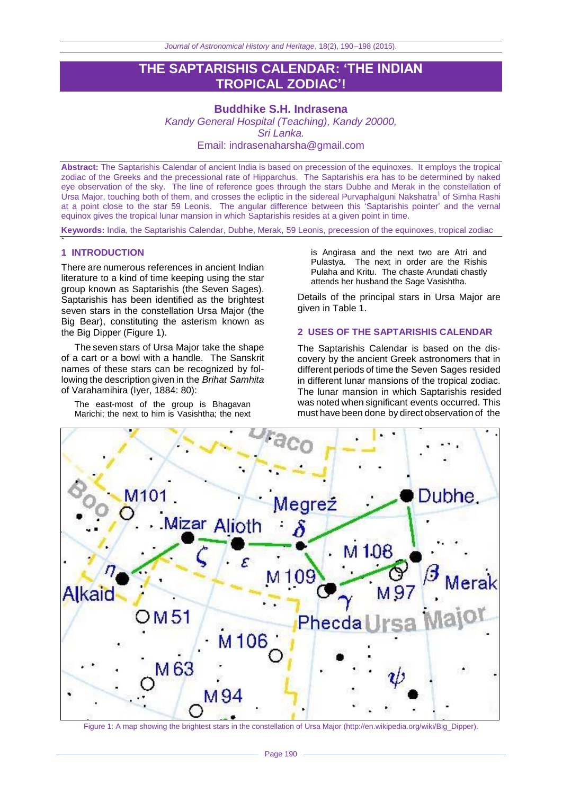# **THE SAPTARISHIS CALENDAR: 'THE INDIAN TROPICAL ZODIAC'!**

**Buddhike S.H. Indrasena** *Kandy General Hospital (Teaching), Kandy 20000, Sri Lanka.* Email: indrasenaharsha@gmail.com

**Abstract:** The Saptarishis Calendar of ancient India is based on precession of the equinoxes. It employs the tropical zodiac of the Greeks and the precessional rate of Hipparchus. The Saptarishis era has to be determined by naked eye observation of the sky. The line of reference goes through the stars Dubhe and Merak in the constellation of Ursa Major, touching both of them, and crosses the ecliptic in the sidereal Purvaphalguni Nakshatra<sup>1</sup> of Simha Rashi at a point close to the star 59 Leonis. The angular difference between this 'Saptarishis pointer' and the vernal equinox gives the tropical lunar mansion in which Saptarishis resides at a given point in time.

**Keywords:** India, the Saptarishis Calendar, Dubhe, Merak, 59 Leonis, precession of the equinoxes, tropical zodiac

### **1 INTRODUCTION**

**`**

There are numerous references in ancient Indian literature to a kind of time keeping using the star group known as Saptarishis (the Seven Sages). Saptarishis has been identified as the brightest seven stars in the constellation Ursa Major (the Big Bear), constituting the asterism known as the Big Dipper (Figure 1).

The seven stars of Ursa Major take the shape of a cart or a bowl with a handle. The Sanskrit names of these stars can be recognized by following the description given in the *Brihat Samhita*  of Varahamihira (Iyer, 1884: 80):

The east-most of the group is Bhagavan Marichi; the next to him is Vasishtha; the next

is Angirasa and the next two are Atri and Pulastya. The next in order are the Rishis Pulaha and Kritu. The chaste Arundati chastly attends her husband the Sage Vasishtha.

Details of the principal stars in Ursa Major are given in Table 1.

## **2 USES OF THE SAPTARISHIS CALENDAR**

The Saptarishis Calendar is based on the discovery by the ancient Greek astronomers that in different periods of time the Seven Sages resided in different lunar mansions of the tropical zodiac. The lunar mansion in which Saptarishis resided was noted when significant events occurred. This must have been done by direct observation of the



Figure 1: A map showing the brightest stars in the constellation of Ursa Major [\(http://en.wikipedia.org/wiki/Big\\_Dipper\)](http://en.wikipedia.org/wiki/Big_Dipper).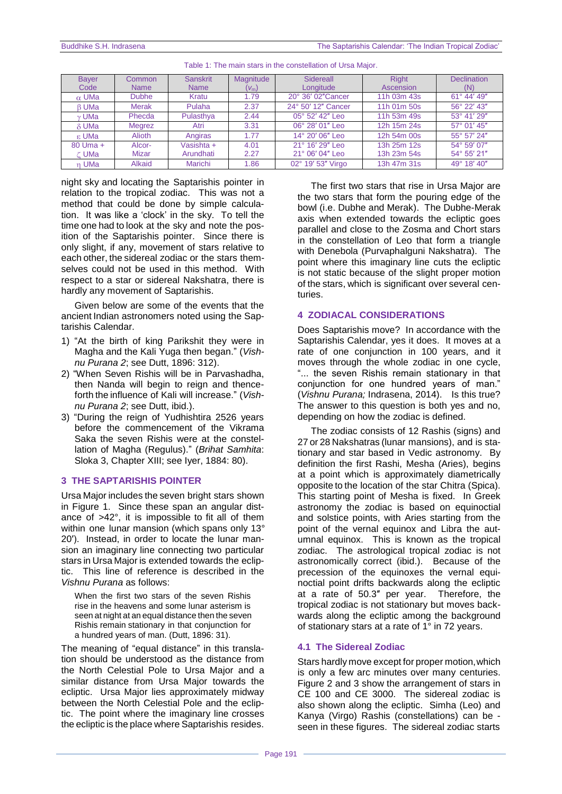| <b>Bayer</b> | Common        | <b>Sanskrit</b> | Magnitude | Sidereall          | <b>Right</b> | <b>Declination</b> |
|--------------|---------------|-----------------|-----------|--------------------|--------------|--------------------|
| Code         | <b>Name</b>   | <b>Name</b>     | $(V_m)$   | Longitude          | Ascension    | (N)                |
| $\alpha$ UMa | <b>Dubhe</b>  | Kratu           | 1.79      | 20° 36' 02" Cancer | 11h 03m 43s  | 61° 44' 49"        |
| <b>B</b> UMa | Merak         | Pulaha          | 2.37      | 24° 50' 12" Cancer | 11h 01m 50s  | 56° 22' 43"        |
| v UMa        | Phecda        | Pulasthya       | 2.44      | 05° 52' 42" Leo    | 11h 53m 49s  | 53° 41' 29"        |
| $\delta$ UMa | <b>Megrez</b> | Atri            | 3.31      | 06° 28' 01" Leo    | 12h 15m 24s  | 57° 01' 45"        |
| ε UMa        | Alioth        | Angiras         | 1.77      | 14° 20' 06" Leo    | 12h 54m 00s  | 55° 57' 24"        |
| 80 Uma +     | Alcor-        | Vasishta +      | 4.01      | 21° 16' 29" Leo    | 13h 25m 12s  | 54° 59' 07"        |
| C UMa        | Mizar         | Arundhati       | 2.27      | 21° 06' 04" Leo    | 13h 23m 54s  | 54° 55' 21"        |
| n UMa        | Alkaid        | Marichi         | 1.86      | 02° 19' 53" Virgo  | 13h 47m 31s  | 49° 18' 40"        |

Table 1: The main stars in the constellation of Ursa Major.

night sky and locating the Saptarishis pointer in relation to the tropical zodiac. This was not a method that could be done by simple calculation. It was like a 'clock' in the sky. To tell the time one had to look at the sky and note the position of the Saptarishis pointer. Since there is only slight, if any, movement of stars relative to each other, the sidereal zodiac or the stars themselves could not be used in this method. With respect to a star or sidereal Nakshatra, there is hardly any movement of Saptarishis.

Given below are some of the events that the ancient Indian astronomers noted using the Saptarishis Calendar.

- 1) "At the birth of king Parikshit they were in Magha and the Kali Yuga then began." (Vish*nu Purana 2*; see Dutt, 1896: 312).
- 2) "When Seven Rishis will be in Parvashadha, then Nanda will begin to reign and thenceforth the influence of Kali will increase.‖ (*Vishnu Purana 2*; see Dutt, ibid.).
- 3) "During the reign of Yudhishtira 2526 years before the commencement of the Vikrama Saka the seven Rishis were at the constellation of Magha (Regulus).‖ (*Brihat Samhita*: Sloka 3, Chapter XIII; see Iyer, 1884: 80).

#### **3 THE SAPTARISHIS POINTER**

Ursa Major includes the seven bright stars shown in Figure 1. Since these span an angular distance of >42°, it is impossible to fit all of them within one lunar mansion (which spans only 13° 20′). Instead, in order to locate the lunar mansion an imaginary line connecting two particular stars in Ursa Major is extended towards the ecliptic. This line of reference is described in the *Vishnu Purana* as follows:

When the first two stars of the seven Rishis rise in the heavens and some lunar asterism is seen at night at an equal distance then the seven Rishis remain stationary in that conjunction for a hundred years of man. (Dutt, 1896: 31).

The meaning of "equal distance" in this translation should be understood as the distance from the North Celestial Pole to Ursa Major and a similar distance from Ursa Major towards the ecliptic. Ursa Major lies approximately midway between the North Celestial Pole and the ecliptic. The point where the imaginary line crosses the ecliptic is the place where Saptarishis resides.

The first two stars that rise in Ursa Major are the two stars that form the pouring edge of the bowl (i.e. Dubhe and Merak). The Dubhe-Merak axis when extended towards the ecliptic goes parallel and close to the Zosma and Chort stars in the constellation of Leo that form a triangle with Denebola (Purvaphalguni Nakshatra). The point where this imaginary line cuts the ecliptic is not static because of the slight proper motion of the stars, which is significant over several centuries.

## **4 ZODIACAL CONSIDERATIONS**

Does Saptarishis move? In accordance with the Saptarishis Calendar, yes it does. It moves at a rate of one conjunction in 100 years, and it moves through the whole zodiac in one cycle, "... the seven Rishis remain stationary in that conjunction for one hundred years of man." (*Vishnu Purana;* Indrasena, 2014). Is this true? The answer to this question is both yes and no, depending on how the zodiac is defined.

The zodiac consists of 12 Rashis (signs) and 27 or 28 Nakshatras (lunar mansions), and is stationary and star based in Vedic astronomy. By definition the first Rashi, Mesha (Aries), begins at a point which is approximately diametrically opposite to the location of the star Chitra (Spica). This starting point of Mesha is fixed. In Greek astronomy the zodiac is based on equinoctial and solstice points, with Aries starting from the point of the vernal equinox and Libra the autumnal equinox. This is known as the tropical zodiac. The astrological tropical zodiac is not astronomically correct (ibid.). Because of the precession of the equinoxes the vernal equinoctial point drifts backwards along the ecliptic at a rate of 50.3″ per year. Therefore, the tropical zodiac is not stationary but moves backwards along the ecliptic among the background of stationary stars at a rate of 1° in 72 years.

# **4.1 The Sidereal Zodiac**

Stars hardly move except for proper motion, which is only a few arc minutes over many centuries. Figure 2 and 3 show the arrangement of stars in CE 100 and CE 3000. The sidereal zodiac is also shown along the ecliptic. Simha (Leo) and Kanya (Virgo) Rashis (constellations) can be seen in these figures. The sidereal zodiac starts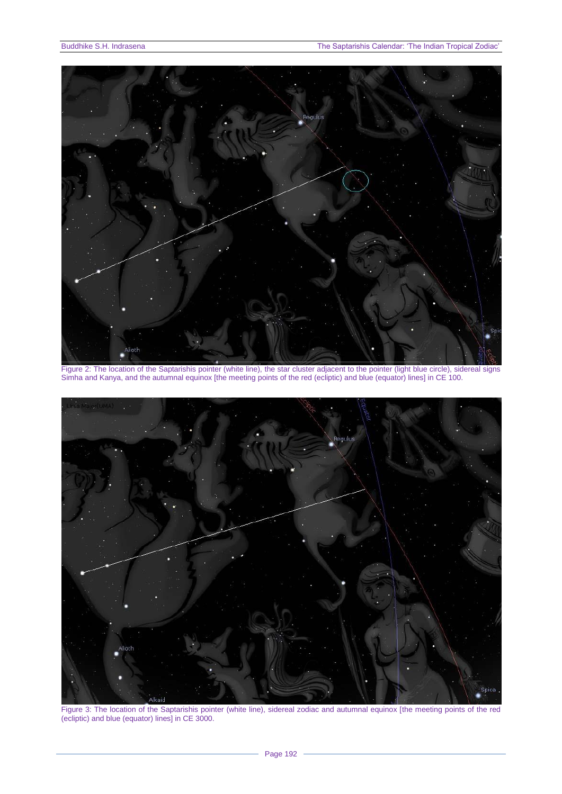

Figure 2: The location of the Saptarishis pointer (white line), the star cluster adjacent to the pointer (light blue circle), sidereal signs Simha and Kanya, and the autumnal equinox [the meeting points of the red (ecliptic) and blue (equator) lines] in CE 100.



Figure 3: The location of the Saptarishis pointer (white line), sidereal zodiac and autumnal equinox [the meeting points of the red (ecliptic) and blue (equator) lines] in CE 3000.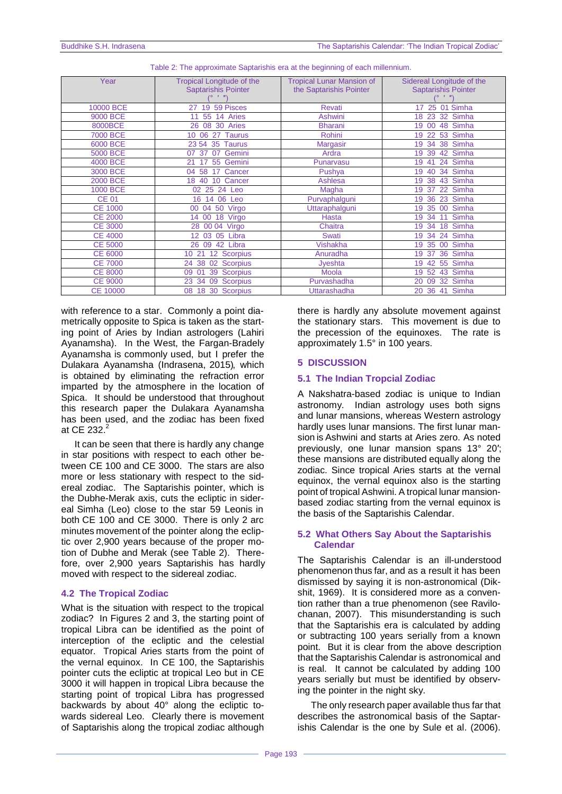| Year            | <b>Tropical Longitude of the</b>     | <b>Tropical Lunar Mansion of</b> | Sidereal Longitude of the  |
|-----------------|--------------------------------------|----------------------------------|----------------------------|
|                 | <b>Saptarishis Pointer</b>           | the Saptarishis Pointer          | <b>Saptarishis Pointer</b> |
|                 |                                      |                                  |                            |
| 10000 BCE       | 19 59 Pisces<br>27                   | <b>Revati</b>                    | 17 25 01 Simha             |
| 9000 BCE        | 14 Aries<br>55<br>11                 | <b>Ashwini</b>                   | 32 Simha<br>18<br>23       |
| 8000BCE         | 08 30 Aries<br>26                    | <b>Bharani</b>                   | 48 Simha<br>19<br>00       |
| 7000 BCE        | <b>Taurus</b><br>10<br>06<br>27      | Rohini                           | 53 Simha<br>19<br>22       |
| 6000 BCE        | 23 54 35<br>Taurus                   | Margasir                         | 38 Simha<br>19<br>34       |
| 5000 BCE        | Gemini<br>07<br>37<br>07             | Ardra                            | 42 Simha<br>19<br>39       |
| 4000 BCE        | 55 Gemini<br>21<br>17                | Punarvasu                        | 24 Simha<br>19<br>41       |
| 3000 BCE        | Cancer<br>58<br>17<br>04             | Pushya                           | 34 Simha<br>19<br>40       |
| 2000 BCE        | 10 Cancer<br>18<br>40                | Ashlesa                          | 43 Simha<br>19 38          |
| 1000 BCE        | 02 25 24 Leo                         | Magha                            | 22 Simha<br>19 37          |
| <b>CE 01</b>    | 16 14 06 Leo                         | Purvaphalguni                    | 23 Simha<br>19 36          |
| <b>CE 1000</b>  | 04 50 Virgo<br>00                    | Uttaraphalguni                   | 00 Simha<br>19<br>35       |
| <b>CE 2000</b>  | 18 Virgo<br>00<br>14                 | <b>Hasta</b>                     | Simha<br>19<br>34<br>11    |
| <b>CE 3000</b>  | 28 00 04 Virgo                       | Chaitra                          | 18 Simha<br>34<br>19       |
| <b>CE 4000</b>  | 12 03 05 Libra                       | <b>Swati</b>                     | 24 Simha<br>19<br>34       |
| <b>CE 5000</b>  | 09 42 Libra<br>26                    | <b>Vishakha</b>                  | 00 Simha<br>19<br>35       |
| <b>CE 6000</b>  | 12 Scorpius<br>10 <sup>°</sup><br>21 | Anuradha                         | 36 Simha<br>19<br>-37      |
| <b>CE 7000</b>  | 02 Scorpius<br>38<br>24              | Jyeshta                          | 42 55 Simha<br>19          |
| <b>CE 8000</b>  | 39 Scorpius<br>09<br>01              | Moola                            | 19 52 43 Simha             |
| <b>CE 9000</b>  | 34<br>Scorpius<br>23<br>09           | Purvashadha                      | 32 Simha<br>20<br>09       |
| <b>CE 10000</b> | 18<br>30 Scorpius<br>08              | Uttarashadha                     | Simha<br>20 36<br>41       |

|  |  | Table 2: The approximate Saptarishis era at the beginning of each millennium. |
|--|--|-------------------------------------------------------------------------------|

with reference to a star. Commonly a point diametrically opposite to Spica is taken as the starting point of Aries by Indian astrologers (Lahiri Ayanamsha). In the West, the Fargan-Bradely Ayanamsha is commonly used, but I prefer the Dulakara Ayanamsha (Indrasena, 2015), which is obtained by eliminating the refraction error imparted by the atmosphere in the location of Spica. It should be understood that throughout this research paper the Dulakara Ayanamsha has been used, and the zodiac has been fixed at CE 232. $^2$ 

It can be seen that there is hardly any change in star positions with respect to each other between CE 100 and CE 3000. The stars are also more or less stationary with respect to the sidereal zodiac. The Saptarishis pointer, which is the Dubhe-Merak axis, cuts the ecliptic in sidereal Simha (Leo) close to the star 59 Leonis in both CE 100 and CE 3000. There is only 2 arc minutes movement of the pointer along the ecliptic over 2,900 years because of the proper motion of Dubhe and Merak (see Table 2). Therefore, over 2,900 years Saptarishis has hardly moved with respect to the sidereal zodiac.

# **4.2 The Tropical Zodiac**

What is the situation with respect to the tropical zodiac? In Figures 2 and 3, the starting point of tropical Libra can be identified as the point of interception of the ecliptic and the celestial equator. Tropical Aries starts from the point of the vernal equinox. In CE 100, the Saptarishis pointer cuts the ecliptic at tropical Leo but in CE 3000 it will happen in tropical Libra because the starting point of tropical Libra has progressed backwards by about 40° along the ecliptic towards sidereal Leo. Clearly there is movement of Saptarishis along the tropical zodiac although

there is hardly any absolute movement against the stationary stars. This movement is due to the precession of the equinoxes. The rate is approximately 1.5° in 100 years.

# **5 DISCUSSION**

# **5.1 The Indian Tropcial Zodiac**

A Nakshatra-based zodiac is unique to Indian astronomy. Indian astrology uses both signs and lunar mansions, whereas Western astrology hardly uses lunar mansions. The first lunar mansion is Ashwini and starts at Aries zero. As noted previously, one lunar mansion spans 13° 20′; these mansions are distributed equally along the zodiac. Since tropical Aries starts at the vernal equinox, the vernal equinox also is the starting point of tropical Ashwini. A tropical lunar mansionbased zodiac starting from the vernal equinox is the basis of the Saptarishis Calendar.

#### **5.2 What Others Say About the Saptarishis Calendar**

The Saptarishis Calendar is an ill-understood phenomenon thus far, and as a result it has been dismissed by saying it is non-astronomical (Dikshit, 1969). It is considered more as a convention rather than a true phenomenon (see Ravilochanan, 2007). This misunderstanding is such that the Saptarishis era is calculated by adding or subtracting 100 years serially from a known point. But it is clear from the above description that the Saptarishis Calendar is astronomical and is real. It cannot be calculated by adding 100 years serially but must be identified by observing the pointer in the night sky.

The only research paper available thus far that describes the astronomical basis of the Saptarishis Calendar is the one by Sule et al. (2006).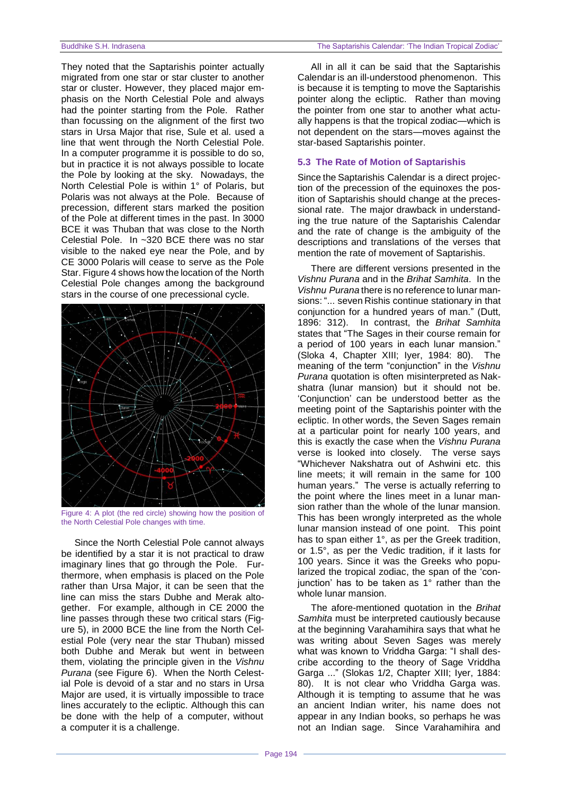They noted that the Saptarishis pointer actually migrated from one star or star cluster to another star or cluster. However, they placed major emphasis on the North Celestial Pole and always had the pointer starting from the Pole. Rather than focussing on the alignment of the first two stars in Ursa Major that rise, Sule et al. used a line that went through the North Celestial Pole. In a computer programme it is possible to do so, but in practice it is not always possible to locate the Pole by looking at the sky. Nowadays, the North Celestial Pole is within 1° of Polaris, but Polaris was not always at the Pole. Because of precession, different stars marked the position of the Pole at different times in the past. In 3000 BCE it was Thuban that was close to the North Celestial Pole. In ~320 BCE there was no star visible to the naked eye near the Pole, and by CE 3000 Polaris will cease to serve as the Pole Star, Figure 4 shows how the location of the North Celestial Pole changes among the background stars in the course of one precessional cycle.



Figure 4: A plot (the red circle) showing how the position of the North Celestial Pole changes with time.

Since the North Celestial Pole cannot always be identified by a star it is not practical to draw imaginary lines that go through the Pole. Furthermore, when emphasis is placed on the Pole rather than Ursa Major, it can be seen that the line can miss the stars Dubhe and Merak altogether. For example, although in CE 2000 the line passes through these two critical stars (Figure 5), in 2000 BCE the line from the North Celestial Pole (very near the star Thuban) missed both Dubhe and Merak but went in between them, violating the principle given in the *Vishnu Purana* (see Figure 6). When the North Celestial Pole is devoid of a star and no stars in Ursa Major are used, it is virtually impossible to trace lines accurately to the ecliptic. Although this can be done with the help of a computer, without a computer it is a challenge.

All in all it can be said that the Saptarishis Calendar is an ill-understood phenomenon. This is because it is tempting to move the Saptarishis pointer along the ecliptic. Rather than moving the pointer from one star to another what actually happens is that the tropical zodiac—which is not dependent on the stars—moves against the star-based Saptarishis pointer.

#### **5.3 The Rate of Motion of Saptarishis**

Since the Saptarishis Calendar is a direct projection of the precession of the equinoxes the position of Saptarishis should change at the precessional rate. The major drawback in understanding the true nature of the Saptarishis Calendar and the rate of change is the ambiguity of the descriptions and translations of the verses that mention the rate of movement of Saptarishis.

There are different versions presented in the *Vishnu Purana* and in the *Brihat Samhita*. In the *Vishnu Purana* there is no reference to lunar mansions: "... seven Rishis continue stationary in that conjunction for a hundred years of man.‖ (Dutt, 1896: 312). In contrast, the *Brihat Samhita* states that "The Sages in their course remain for a period of 100 years in each lunar mansion." (Sloka 4, Chapter XIII; Iyer, 1984: 80). The meaning of the term "conjunction" in the Vishnu *Purana* quotation is often misinterpreted as Nakshatra (lunar mansion) but it should not be. ‗Conjunction' can be understood better as the meeting point of the Saptarishis pointer with the ecliptic. In other words, the Seven Sages remain at a particular point for nearly 100 years, and this is exactly the case when the *Vishnu Purana* verse is looked into closely. The verse says ―Whichever Nakshatra out of Ashwini etc. this line meets; it will remain in the same for 100 human years." The verse is actually referring to the point where the lines meet in a lunar mansion rather than the whole of the lunar mansion. This has been wrongly interpreted as the whole lunar mansion instead of one point. This point has to span either 1°, as per the Greek tradition, or 1.5°, as per the Vedic tradition, if it lasts for 100 years. Since it was the Greeks who popularized the tropical zodiac, the span of the 'conjunction' has to be taken as 1° rather than the whole lunar mansion.

The afore-mentioned quotation in the *Brihat Samhita* must be interpreted cautiously because at the beginning Varahamihira says that what he was writing about Seven Sages was merely what was known to Vriddha Garga: "I shall describe according to the theory of Sage Vriddha Garga ..." (Slokas 1/2, Chapter XIII; Iver, 1884: 80). It is not clear who Vriddha Garga was. Although it is tempting to assume that he was an ancient Indian writer, his name does not appear in any Indian books, so perhaps he was not an Indian sage. Since Varahamihira and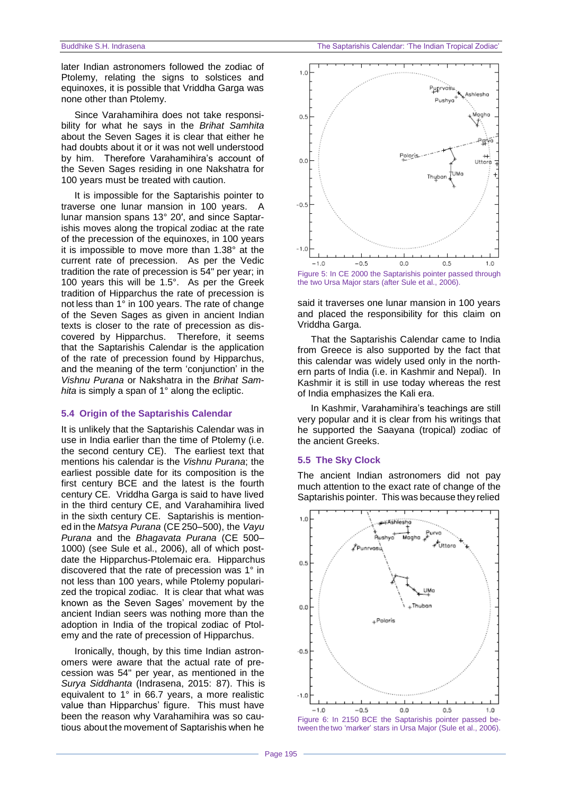later Indian astronomers followed the zodiac of Ptolemy, relating the signs to solstices and equinoxes, it is possible that Vriddha Garga was none other than Ptolemy.

Since Varahamihira does not take responsibility for what he says in the *Brihat Samhita* about the Seven Sages it is clear that either he had doubts about it or it was not well understood by him. Therefore Varahamihira's account of the Seven Sages residing in one Nakshatra for 100 years must be treated with caution.

It is impossible for the Saptarishis pointer to traverse one lunar mansion in 100 years. A lunar mansion spans 13° 20′, and since Saptarishis moves along the tropical zodiac at the rate of the precession of the equinoxes, in 100 years it is impossible to move more than 1.38° at the current rate of precession. As per the Vedic tradition the rate of precession is 54" per year; in 100 years this will be 1.5°. As per the Greek tradition of Hipparchus the rate of precession is not less than 1° in 100 years. The rate of change of the Seven Sages as given in ancient Indian texts is closer to the rate of precession as discovered by Hipparchus. Therefore, it seems that the Saptarishis Calendar is the application of the rate of precession found by Hipparchus, and the meaning of the term 'conjunction' in the *Vishnu Purana* or Nakshatra in the *Brihat Samhita* is simply a span of 1° along the ecliptic.

#### **5.4 Origin of the Saptarishis Calendar**

It is unlikely that the Saptarishis Calendar was in use in India earlier than the time of Ptolemy (i.e. the second century CE). The earliest text that mentions his calendar is the *Vishnu Purana*; the earliest possible date for its composition is the first century BCE and the latest is the fourth century CE. Vriddha Garga is said to have lived in the third century CE, and Varahamihira lived in the sixth century CE. Saptarishis is mentioned in the *Matsya Purana* (CE 250–500), the *Vayu Purana* and the *Bhagavata Purana* (CE 500– 1000) (see Sule et al., 2006), all of which postdate the Hipparchus-Ptolemaic era. Hipparchus discovered that the rate of precession was 1° in not less than 100 years, while Ptolemy popularized the tropical zodiac. It is clear that what was known as the Seven Sages' movement by the ancient Indian seers was nothing more than the adoption in India of the tropical zodiac of Ptolemy and the rate of precession of Hipparchus.

Ironically, though, by this time Indian astronomers were aware that the actual rate of precession was 54" per year, as mentioned in the *Surya Siddhanta* (Indrasena, 2015: 87). This is equivalent to 1° in 66.7 years, a more realistic value than Hipparchus' figure. This must have been the reason why Varahamihira was so cautious about the movement of Saptarishis when he



Figure 5: In CE 2000 the Saptarishis pointer passed through the two Ursa Major stars (after Sule et al., 2006).

said it traverses one lunar mansion in 100 years and placed the responsibility for this claim on Vriddha Garga.

That the Saptarishis Calendar came to India from Greece is also supported by the fact that this calendar was widely used only in the northern parts of India (i.e. in Kashmir and Nepal). In Kashmir it is still in use today whereas the rest of India emphasizes the Kali era.

In Kashmir, Varahamihira's teachings are still very popular and it is clear from his writings that he supported the Saayana (tropical) zodiac of the ancient Greeks.

#### **5.5 The Sky Clock**

The ancient Indian astronomers did not pay much attention to the exact rate of change of the Saptarishis pointer. This was because they relied

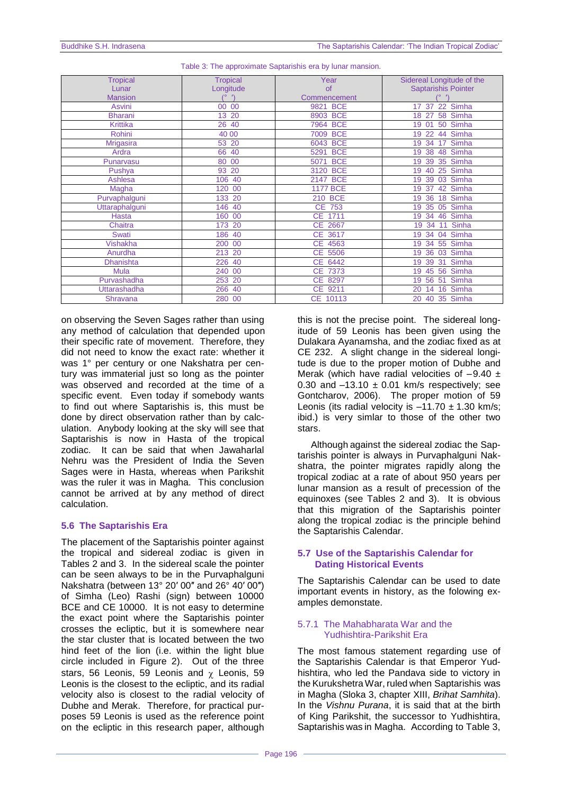| <b>Tropical</b>  | <b>Tropical</b>       | Year               | Sidereal Longitude of the      |
|------------------|-----------------------|--------------------|--------------------------------|
| Lunar            | Longitude             | of                 | <b>Saptarishis Pointer</b>     |
| <b>Mansion</b>   |                       | Commencement       |                                |
| <b>Asvini</b>    | 00<br>00 <sup>°</sup> | <b>BCE</b><br>9821 | 22 Simha<br>17 37              |
| <b>Bharani</b>   | 13 20                 | 8903 BCE           | 58 Simha<br>18 27              |
| <b>Krittika</b>  | 26 40                 | 7964 BCE           | 50 Simha<br>01<br>19           |
| Rohini           | 40 00                 | <b>BCE</b><br>7009 | 44 Simha<br>22<br>19           |
| <b>Mrigasira</b> | 53 20                 | <b>BCE</b><br>6043 | 17 Simha<br>34<br>19           |
| Ardra            | 66 40                 | <b>BCE</b><br>5291 | 48 Simha<br>38<br>19           |
| Punarvasu        | 80 00                 | <b>BCE</b><br>5071 | 35 Simha<br>39<br>19           |
| Pushya           | 93 20                 | <b>BCE</b><br>3120 | 25 Simha<br>19<br>40           |
| Ashlesa          | 106 40                | <b>BCE</b><br>2147 | Simha<br>39<br>03<br>19        |
| Magha            | 120 00                | <b>1177 BCE</b>    | 42 Simha<br>19<br>-37          |
| Purvaphalguni    | 133 20                | 210 BCE            | 18 Simha<br>36<br>19           |
| Uttaraphalguni   | 146 40                | <b>CE 753</b>      | 05 Simha<br>35<br>19           |
| Hasta            | 160 00                | CE 1711            | 46 Simha<br>19 34              |
| Chaitra          | 173 20                | CE 2667            | 11 Sinha<br>34<br>19           |
| <b>Swati</b>     | 186 40                | CE 3617            | Simha<br>34<br>04<br>19        |
| <b>Vishakha</b>  | 200 00                | CE 4563            | 55 Simha<br>34<br>19           |
| Anurdha          | 213 20                | CE 5506            | <b>Simha</b><br>36<br>03<br>19 |
| <b>Dhanishta</b> | 226 40                | CE 6442            | Simha<br>39<br>31<br>19        |
| <b>Mula</b>      | 240 00                | CE 7373            | 45 56 Simha<br>19              |
| Purvashadha      | 253 20                | CE 8297            | Simha<br>56 51<br>19           |
| Uttarashadha     | 266 40                | CE 9211            | Simha<br>16<br>20<br>14        |
| Shravana         | 280 00                | CE 10113           | 40 35 Simha<br>20              |

|  |  | Table 3: The approximate Saptarishis era by lunar mansion. |
|--|--|------------------------------------------------------------|

on observing the Seven Sages rather than using any method of calculation that depended upon their specific rate of movement. Therefore, they did not need to know the exact rate: whether it was 1° per century or one Nakshatra per century was immaterial just so long as the pointer was observed and recorded at the time of a specific event. Even today if somebody wants to find out where Saptarishis is, this must be done by direct observation rather than by calculation. Anybody looking at the sky will see that Saptarishis is now in Hasta of the tropical zodiac. It can be said that when Jawaharlal Nehru was the President of India the Seven Sages were in Hasta, whereas when Parikshit was the ruler it was in Magha. This conclusion cannot be arrived at by any method of direct calculation.

# **5.6 The Saptarishis Era**

The placement of the Saptarishis pointer against the tropical and sidereal zodiac is given in Tables 2 and 3. In the sidereal scale the pointer can be seen always to be in the Purvaphalguni Nakshatra (between 13° 20′ 00″ and 26° 40′ 00″) of Simha (Leo) Rashi (sign) between 10000 BCE and CE 10000. It is not easy to determine the exact point where the Saptarishis pointer crosses the ecliptic, but it is somewhere near the star cluster that is located between the two hind feet of the lion (i.e. within the light blue circle included in Figure 2). Out of the three stars, 56 Leonis, 59 Leonis and  $\chi$  Leonis, 59 Leonis is the closest to the ecliptic, and its radial velocity also is closest to the radial velocity of Dubhe and Merak. Therefore, for practical purposes 59 Leonis is used as the reference point on the ecliptic in this research paper, although

this is not the precise point. The sidereal longitude of 59 Leonis has been given using the Dulakara Ayanamsha, and the zodiac fixed as at CE 232. A slight change in the sidereal longitude is due to the proper motion of Dubhe and Merak (which have radial velocities of  $-9.40 \pm$ 0.30 and  $-13.10 \pm 0.01$  km/s respectively; see Gontcharov, 2006). The proper motion of 59 Leonis (its radial velocity is  $-11.70 \pm 1.30$  km/s; ibid.) is very simlar to those of the other two stars.

Although against the sidereal zodiac the Saptarishis pointer is always in Purvaphalguni Nakshatra, the pointer migrates rapidly along the tropical zodiac at a rate of about 950 years per lunar mansion as a result of precession of the equinoxes (see Tables 2 and 3). It is obvious that this migration of the Saptarishis pointer along the tropical zodiac is the principle behind the Saptarishis Calendar.

# **5.7 Use of the Saptarishis Calendar for Dating Historical Events**

The Saptarishis Calendar can be used to date important events in history, as the folowing examples demonstate.

## 5.7.1 The Mahabharata War and the Yudhishtira-Parikshit Era

The most famous statement regarding use of the Saptarishis Calendar is that Emperor Yudhishtira, who led the Pandava side to victory in the Kurukshetra War, ruled when Saptarishis was in Magha (Sloka 3, chapter XIII, *Brihat Samhita*). In the *Vishnu Purana*, it is said that at the birth of King Parikshit, the successor to Yudhishtira, Saptarishis was in Magha. According to Table 3,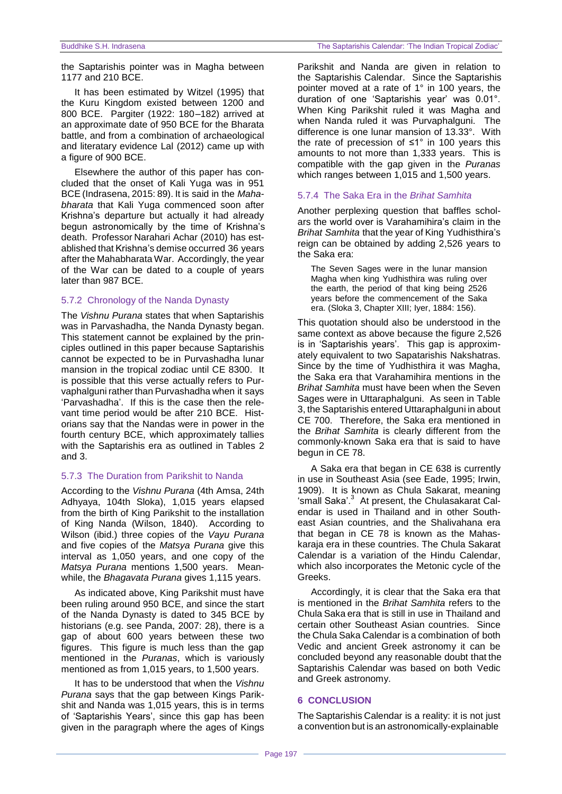the Saptarishis pointer was in Magha between 1177 and 210 BCE.

It has been estimated by Witzel (1995) that the Kuru Kingdom existed between 1200 and 800 BCE. Pargiter (1922: 180–182) arrived at an approximate date of 950 BCE for the Bharata battle, and from a combination of archaeological and literatary evidence Lal (2012) came up with a figure of 900 BCE.

Elsewhere the author of this paper has concluded that the onset of Kali Yuga was in 951 BCE (Indrasena, 2015: 89). It is said in the *Mahabharata* that Kali Yuga commenced soon after Krishna's departure but actually it had already begun astronomically by the time of Krishna's death. Professor Narahari Achar (2010) has established that Krishna's demise occurred 36 years after the Mahabharata War. Accordingly, the year of the War can be dated to a couple of years later than 987 BCE.

#### 5.7.2 Chronology of the Nanda Dynasty

The *Vishnu Purana* states that when Saptarishis was in Parvashadha, the Nanda Dynasty began. This statement cannot be explained by the principles outlined in this paper because Saptarishis cannot be expected to be in Purvashadha lunar mansion in the tropical zodiac until CE 8300. It is possible that this verse actually refers to Purvaphalguni rather than Purvashadha when it says ‗Parvashadha'. If this is the case then the relevant time period would be after 210 BCE. Historians say that the Nandas were in power in the fourth century BCE, which approximately tallies with the Saptarishis era as outlined in Tables 2 and 3.

#### 5.7.3 The Duration from Parikshit to Nanda

According to the *Vishnu Purana* (4th Amsa, 24th Adhyaya, 104th Sloka), 1,015 years elapsed from the birth of King Parikshit to the installation of King Nanda (Wilson, 1840). According to Wilson (ibid.) three copies of the *Vayu Purana* and five copies of the *Matsya Purana* give this interval as 1,050 years, and one copy of the *Matsya Purana* mentions 1,500 years. Meanwhile, the *Bhagavata Purana* gives 1,115 years.

As indicated above, King Parikshit must have been ruling around 950 BCE, and since the start of the Nanda Dynasty is dated to 345 BCE by historians (e.g. see Panda, 2007: 28), there is a gap of about 600 years between these two figures. This figure is much less than the gap mentioned in the *Puranas*, which is variously mentioned as from 1,015 years, to 1,500 years.

It has to be understood that when the *Vishnu Purana* says that the gap between Kings Parikshit and Nanda was 1,015 years, this is in terms of 'Saptarishis Years', since this gap has been given in the paragraph where the ages of Kings

Parikshit and Nanda are given in relation to the Saptarishis Calendar. Since the Saptarishis pointer moved at a rate of 1° in 100 years, the duration of one 'Saptarishis year' was 0.01°. When King Parikshit ruled it was Magha and when Nanda ruled it was Purvaphalguni. The difference is one lunar mansion of 13.33°. With the rate of precession of ≤1° in 100 years this amounts to not more than 1,333 years. This is compatible with the gap given in the *Puranas* which ranges between 1,015 and 1,500 years.

#### 5.7.4 The Saka Era in the *Brihat Samhita*

Another perplexing question that baffles scholars the world over is Varahamihira's claim in the *Brihat Samhita* that the year of King Yudhisthira's reign can be obtained by adding 2,526 years to the Saka era:

The Seven Sages were in the lunar mansion Magha when king Yudhisthira was ruling over the earth, the period of that king being 2526 years before the commencement of the Saka era. (Sloka 3, Chapter XIII; Iyer, 1884: 156).

This quotation should also be understood in the same context as above because the figure 2,526 is in 'Saptarishis years'. This gap is approximately equivalent to two Sapatarishis Nakshatras. Since by the time of Yudhisthira it was Magha, the Saka era that Varahamihira mentions in the *Brihat Samhita* must have been when the Seven Sages were in Uttaraphalguni. As seen in Table 3, the Saptarishis entered Uttaraphalguni in about CE 700. Therefore, the Saka era mentioned in the *Brihat Samhita* is clearly different from the commonly-known Saka era that is said to have begun in CE 78.

A Saka era that began in CE 638 is currently in use in Southeast Asia (see Eade, 1995; Irwin, 1909). It is known as Chula Sakarat, meaning 'small Saka'.<sup>3</sup> At present, the Chulasakarat Calendar is used in Thailand and in other Southeast Asian countries, and the Shalivahana era that began in CE 78 is known as the Mahaskaraja era in these countries. The Chula Sakarat Calendar is a variation of the Hindu Calendar, which also incorporates the Metonic cycle of the Greeks.

Accordingly, it is clear that the Saka era that is mentioned in the *Brihat Samhita* refers to the Chula Saka era that is still in use in Thailand and certain other Southeast Asian countries. Since the Chula Saka Calendar is a combination of both Vedic and ancient Greek astronomy it can be concluded beyond any reasonable doubt that the Saptarishis Calendar was based on both Vedic and Greek astronomy.

#### **6 CONCLUSION**

The Saptarishis Calendar is a reality: it is not just a convention but is an astronomically-explainable